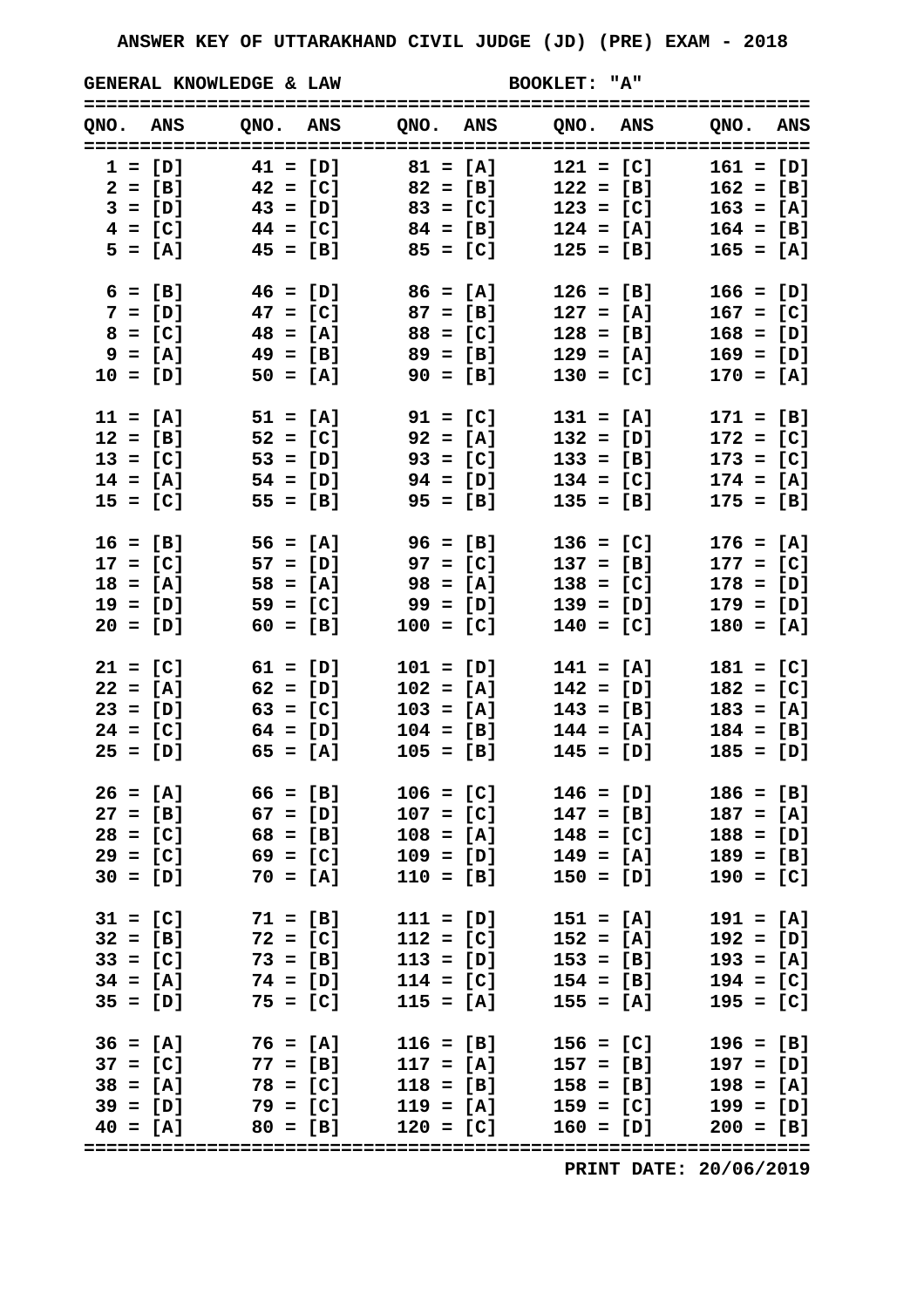**GENERAL KNOWLEDGE & LAW BOOKLET: "A"**

| QNO. ANS   |            |                       |                                   |            | QNO. ANS QNO. ANS QNO. ANS QNO. ANS |             |             |             |  |
|------------|------------|-----------------------|-----------------------------------|------------|-------------------------------------|-------------|-------------|-------------|--|
|            |            |                       |                                   |            |                                     |             |             |             |  |
|            |            |                       | $1 = [D]$ $41 = [D]$ $81 = [A]$   |            |                                     | $121 = [C]$ |             | $161 = [D]$ |  |
|            |            |                       | $2 = [B]$ $42 = [C]$ $82 = [B]$   |            |                                     | $122 = [B]$ |             | $162 = [B]$ |  |
|            |            |                       | $3 = [D]$ $43 = [D]$ $83 = [C]$   |            |                                     | $123 = [C]$ |             | $163 = [A]$ |  |
|            |            |                       | $4 = [C]$ $44 = [C]$ $84 = [B]$   |            |                                     | $124 = [A]$ |             | $164 = [B]$ |  |
|            |            |                       | $5 = [A]$ $45 = [B]$ $85 = [C]$   |            |                                     | $125 = [B]$ |             | $165 = [A]$ |  |
|            |            |                       |                                   |            |                                     |             |             |             |  |
| $6 = [B]$  |            |                       | $46 = [D]$ $86 = [A]$             |            |                                     | $126 = [B]$ |             | $166 = [D]$ |  |
|            |            |                       | $7 = [D]$ 47 = [C] 87 = [B]       |            |                                     | $127 = [A]$ |             | $167 = [C]$ |  |
|            | $8 = [C]$  | $48 = [A]$            | $88 = [C]$                        |            |                                     | $128 = [B]$ |             | $168 = [D]$ |  |
|            | $9 = [A]$  | $49 = [B]$            | $89 = [B]$                        |            |                                     | $129 = [A]$ |             | $169 = [D]$ |  |
| $10 = [D]$ |            | $50 = [A]$            |                                   | $90 = [B]$ |                                     | $130 = [C]$ |             | $170 = [A]$ |  |
|            |            |                       |                                   |            |                                     |             |             |             |  |
| $11 = [A]$ |            | $51 = [A]$            |                                   | $91 = [C]$ |                                     | $131 = [A]$ |             | $171 = [B]$ |  |
| $12 = [B]$ |            | $52 = [C]$            | $92 = [A]$                        |            |                                     | $132 = [D]$ |             | $172 = [C]$ |  |
| $13 = [C]$ |            |                       | $53 = [D]$ $93 = [C]$             |            |                                     | $133 = [B]$ |             | $173 = [C]$ |  |
|            |            |                       | $14 = [A]$ $54 = [D]$ $94 = [D]$  |            |                                     | $134 = [C]$ |             | $174 = [A]$ |  |
| $15 = [C]$ |            | $55 = [B]$            |                                   | $95 = [B]$ |                                     | $135 = [B]$ |             | $175 = [B]$ |  |
|            |            |                       |                                   |            |                                     |             |             |             |  |
| $16 = [B]$ |            | $56 = [A]$            | $96 = [B]$                        |            |                                     | $136 = [C]$ |             | $176 = [A]$ |  |
| $17 = [C]$ |            |                       | $57 = [D]$ 97 = [C]               |            |                                     | $137 = [B]$ |             | $177 = [C]$ |  |
| $18 = [A]$ |            | $58 = [A]$            | $98 = [A]$                        |            |                                     | $138 = [C]$ |             | $178 = [D]$ |  |
| $19 = [D]$ |            | $59 = [C]$            |                                   | 99 = [D]   |                                     | $139 = [D]$ |             | $179 = [D]$ |  |
| $20 = [D]$ |            | $60 = [B]$            | $100 = [C]$                       |            |                                     | $140 = [C]$ |             | $180 = [A]$ |  |
|            |            |                       |                                   |            |                                     |             |             |             |  |
|            |            | $21 = [C]$ $61 = [D]$ | $101 = [D]$                       |            |                                     | $141 = [A]$ |             | $181 = [C]$ |  |
| $22 = [A]$ |            | $62 = [D]$            | $102 = [A]$                       |            |                                     | $142 = [D]$ |             | $182 = [C]$ |  |
| $23 = [D]$ |            | $63 = [C]$            | $103 = [A]$                       |            |                                     | $143 = [B]$ |             | $183 = [A]$ |  |
|            |            | $24 = [C]$ 64 = [D]   | $104 = [B]$                       |            |                                     | $144 = [A]$ |             | $184 = [B]$ |  |
|            |            | $25 = [D]$ 65 = [A]   | $105 = [B]$                       |            |                                     | $145 = [D]$ |             | $185 = [D]$ |  |
|            |            |                       |                                   |            |                                     |             |             |             |  |
| $26 = [A]$ |            | $66 = [B]$            |                                   |            | $106 = [C]$ $146 = [D]$             |             |             | $186 = [B]$ |  |
| $27 = [B]$ |            | $67 = [D]$            |                                   |            | $107 = [C]$ 147 = [B]               |             |             | $187 = [A]$ |  |
|            |            | $28 = [C]$ 68 = [B]   | $108 = [A]$                       |            |                                     | $148 = [C]$ |             | $188 = [D]$ |  |
| $29 = [C]$ |            | $69 = [C]$            | $109 = [D]$                       |            |                                     | $149 = [A]$ |             | $189 = [B]$ |  |
| $30 = [D]$ |            | $70 = [A]$            | $110 = [B]$                       |            |                                     | $150 = [D]$ |             | $190 = [C]$ |  |
|            |            |                       |                                   |            |                                     |             |             |             |  |
| $31 = [C]$ |            | $71 = [B]$            | $111 = [D]$                       |            |                                     | $151 = [A]$ |             | $191 = [A]$ |  |
|            |            | $32 = [B]$ $72 = [C]$ | $112 = [C]$                       |            |                                     | $152 = [A]$ |             | $192 = [D]$ |  |
|            | $33 = [C]$ | $73 = [B]$            | $113 = [D]$                       |            |                                     | $153 = [B]$ |             | $193 = [A]$ |  |
| $34 = [A]$ |            | $74 = [D]$            |                                   |            | $114 = [C]$ $154 = [B]$             |             |             | $194 = [C]$ |  |
|            |            | $35 = [D]$ 75 = [C]   | $115 = [A]$                       |            |                                     | $155 = [A]$ |             | $195 = [C]$ |  |
|            |            |                       |                                   |            |                                     |             |             |             |  |
| $36 = [A]$ |            | $76 = [A]$            | $116 = [B]$                       |            |                                     | $156 = [C]$ |             | $196 = [B]$ |  |
|            |            | $37 = [C]$ $77 = [B]$ | $117 = [A]$                       |            |                                     | $157 = [B]$ |             | $197 = [D]$ |  |
|            |            | $38 = [A]$ 78 = [C]   |                                   |            | $118 = [B]$ $158 = [B]$             |             |             | $198 = [A]$ |  |
|            |            |                       | $39 = [D]$ $79 = [C]$ $119 = [A]$ |            | $159 = [C]$                         |             |             | $199 = [D]$ |  |
| $40 = [A]$ |            | $80 = [B]$            | $120 = [C]$                       |            |                                     |             | $160 = [D]$ | $200 = [B]$ |  |
|            |            |                       |                                   |            |                                     |             |             |             |  |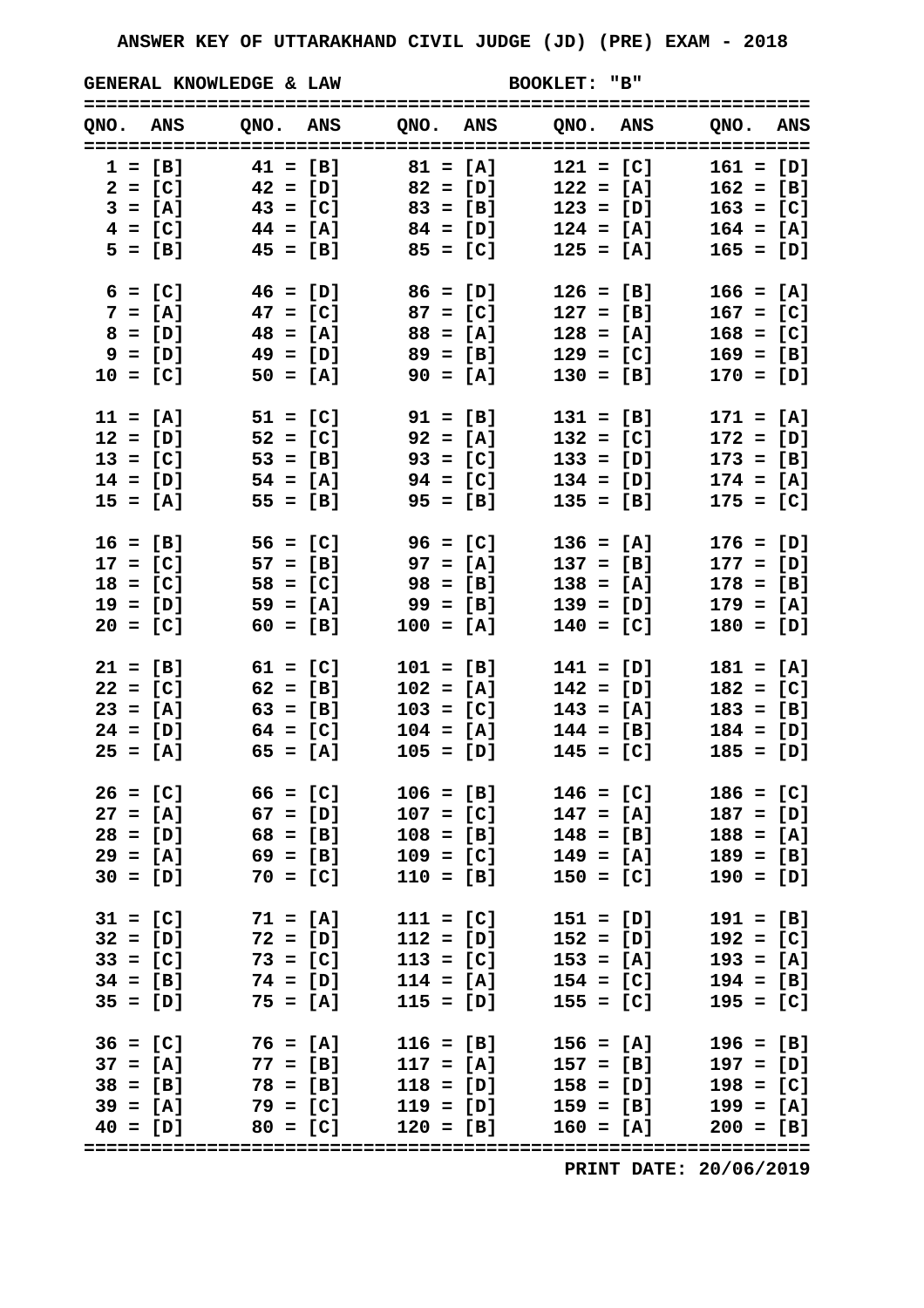**GENERAL KNOWLEDGE & LAW BOOKLET: "B"**

| QNO. ANS   |                                         |            |             |            |                         | QNO. ANS QNO. ANS QNO. ANS QNO. ANS                       |
|------------|-----------------------------------------|------------|-------------|------------|-------------------------|-----------------------------------------------------------|
|            | $1 = [B]$ $41 = [B]$ $81 = [A]$         |            |             |            | $121 = [C]$             | $161 = [D]$                                               |
|            | $2 = [C]$ $42 = [D]$ $82 = [D]$         |            |             |            | $122 = [A]$             | $162 = [B]$                                               |
|            | $3 = [A]$ $43 = [C]$ $83 = [B]$         |            |             |            | $123 = [D]$             | $163 = [C]$                                               |
|            | $4 = [C]$ $44 = [A]$ $84 = [D]$         |            |             |            | $124 = [A]$             | $164 = [A]$                                               |
|            | $5 = [B]$ $45 = [B]$ $85 = [C]$         |            |             |            | $125 = [A]$             | $165 = [D]$                                               |
|            | $6 = [C]$ $46 = [D]$ $86 = [D]$         |            |             |            | $126 = [B]$             | $166 = [A]$                                               |
|            | $7 = [A]$ $47 = [C]$ $87 = [C]$         |            |             |            | $127 = [B]$             | $167 = [C]$                                               |
| $8 = [D]$  | $48 = [A]$                              |            | $88 = [A]$  |            | $128 = [A]$             | $168 = [C]$                                               |
| $9 = [D]$  |                                         | 49 = [D]   | $89 = [B]$  |            | $129 = [C]$             | $169 = [B]$                                               |
| $10 = [C]$ |                                         | $50 = [A]$ | $90 = [A]$  |            | $130 = [B]$             | $170 = [D]$                                               |
| $11 = [A]$ | $51 = [C]$                              |            | 91 = [B]    |            | $131 = [B]$             | $171 = [A]$                                               |
|            | $12 = [D]$ $52 = [C]$ $92 = [A]$        |            |             |            | $132 = [C]$             | $172 = [D]$                                               |
|            | $13 = [C]$ $53 = [B]$ $93 = [C]$        |            |             |            | $133 = [D]$             | $173 = [B]$                                               |
|            | $14 = [D]$ $54 = [A]$ $94 = [C]$        |            |             |            | $134 = [D]$             | $174 = [A]$                                               |
| $15 = [A]$ |                                         | $55 = [B]$ |             | $95 = [B]$ | $135 = [B]$             | $175 = [C]$                                               |
|            | $16 = [B]$ $56 = [C]$ $96 = [C]$        |            |             |            | $136 = [A]$             | $176 = [D]$                                               |
|            | $17 = [C]$ 57 = [B] 97 = [A]            |            |             |            | $137 = [B]$             | $177 = [D]$                                               |
| $18 = [C]$ | $58 = [C]$                              |            | $98 = [B]$  |            | $138 = [A]$             | $178 = [B]$                                               |
| $19 = [D]$ |                                         | $59 = [A]$ | 99 = [B]    |            | $139 = [D]$             | $179 = [A]$                                               |
| $20 = [C]$ | $60 = [B]$                              |            | $100 = [A]$ |            | $140 = [C]$             | $180 = [D]$                                               |
|            | $21 = [B]$ $61 = [C]$                   |            | $101 = [B]$ |            | $141 = [D]$             | $181 = [A]$                                               |
| $22 = [C]$ | $62 = [B]$                              |            | $102 = [A]$ |            | $142 = [D]$             | $182 = [C]$                                               |
|            | $23 = [A]$ 63 = [B]                     |            | $103 = [C]$ |            | $143 = [A]$             | $183 = [B]$                                               |
|            | $24 = [D]$ 64 = [C]                     |            | $104 = [A]$ |            | $144 = [B]$             | $184 = [D]$                                               |
|            | $25 = [A]$ $65 = [A]$                   |            | $105 = [D]$ |            | $145 = [C]$             | $185 = [D]$                                               |
| $26 = [C]$ | $66 = [C]$                              |            |             |            | $106 = [B]$ $146 = [C]$ | $186 = [C]$                                               |
|            | $27 = [A]$ 67 = [D]                     |            | $107 = [C]$ |            | $147 = [A]$             | $187 = [D]$                                               |
|            | $28 = [D]$ 68 = [B]                     |            | $108 = [B]$ |            | $148 = [B]$             | $188 = [A]$                                               |
| $29 = [A]$ |                                         | $69 = [B]$ | $109 = [C]$ |            | $149 = [A]$             | $189 = [B]$                                               |
|            | $30 = [D]$ 70 = [C]                     |            | $110 = [B]$ |            | $150 = [C]$             | $190 = [D]$                                               |
|            | $31 = [C]$ 71 = [A]                     |            | $111 = [C]$ |            | $151 = [D]$             | $191 = [B]$                                               |
|            | $32 = [D]$ 72 = [D]                     |            | $112 = [D]$ |            | $152 = [D]$             | $192 = [C]$                                               |
|            | $33 = [C]$ 73 = [C]                     |            | $113 = [C]$ |            | $153 = [A]$             | $193 = [A]$                                               |
|            | $34 = [B]$ 74 = [D] 114 = [A]           |            |             |            | $154 = [C]$             | $194 = [B]$                                               |
|            | $35 = [D]$ 75 = [A]                     |            | $115 = [D]$ |            | $155 = [C]$             | $195 = [C]$                                               |
|            | $36 = [C]$ 76 = [A] 116 = [B]           |            |             |            | $156 = [A]$             | $196 = [B]$                                               |
|            | $37 = [A]$ $77 = [B]$ $117 = [A]$       |            |             |            | $157 = [B]$             | $197 = [D]$                                               |
|            | $38 = [B]$ 78 = [B] 118 = [D] 158 = [D] |            |             |            |                         | $198 = [C]$                                               |
|            |                                         |            |             |            |                         | $39 = [A]$ $79 = [C]$ $119 = [D]$ $159 = [B]$ $199 = [A]$ |
| $40 = [D]$ | $80 = [C]$ 120 = [B]                    |            |             |            |                         | $160 = [A]$ 200 = [B]                                     |
|            |                                         |            |             |            |                         |                                                           |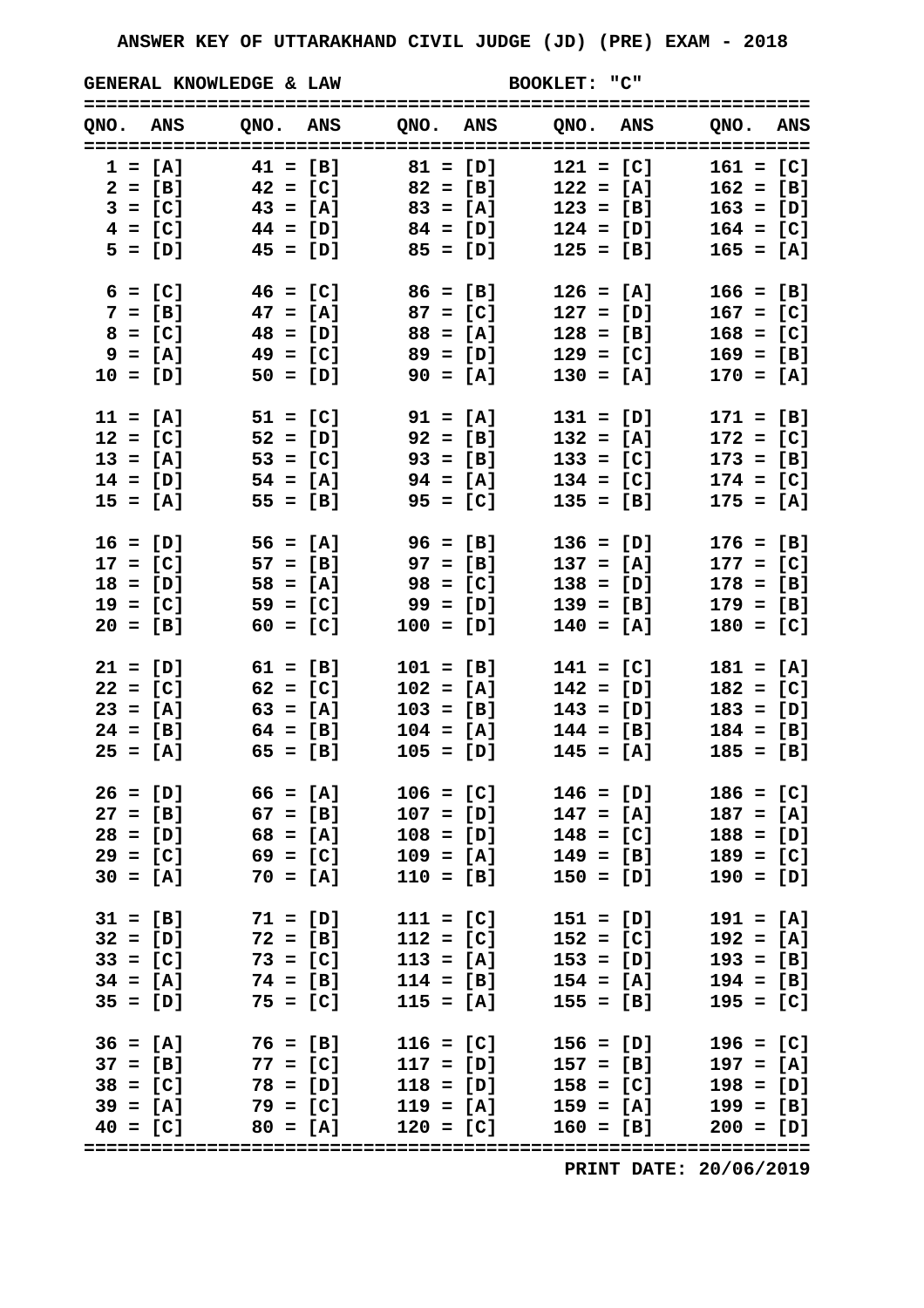GENERAL KNOWLEDGE & LAW BOOKLET: "C"

| QNO. ANS   |                                   |                      | QNO. ANS QNO. ANS QNO. ANS | ONO. ANS    |
|------------|-----------------------------------|----------------------|----------------------------|-------------|
|            |                                   |                      |                            |             |
|            | $1 = [A]$ $41 = [B]$ $81 = [D]$   |                      | $121 = [C]$                | $161 = [C]$ |
|            | $2 = [B]$ $42 = [C]$ $82 = [B]$   |                      | $122 = [A]$                | $162 = [B]$ |
|            | $3 = [C]$ $43 = [A]$ $83 = [A]$   |                      | $123 = [B]$                | $163 = [D]$ |
|            | $4 = [C]$ $44 = [D]$ $84 = [D]$   |                      | $124 = [D]$                | $164 = [C]$ |
|            | $5 = [D]$ $45 = [D]$ $85 = [D]$   |                      | $125 = [B]$                | $165 = [A]$ |
|            | $6 = [C]$ $46 = [C]$ $86 = [B]$   |                      | $126 = [A]$                | $166 = [B]$ |
|            | $7 = [B]$ 47 = [A] 87 = [C]       |                      | $127 = [D]$                | $167 = [C]$ |
| $8 = [C]$  | $48 = [D]$                        | $88 = [A]$           | $128 = [B]$                | $168 = [C]$ |
| $9 = [A]$  | 49 = [C]                          | 89 = [D]             | $129 = [C]$                | $169 = [B]$ |
| $10 = [D]$ | $50 = [D]$                        | $90 = [A]$           | $130 = [A]$                | $170 = [A]$ |
|            |                                   |                      |                            |             |
| $11 = [A]$ | $51 = [C]$                        | 91 = [A]             | $131 = [D]$                | $171 = [B]$ |
|            | $12 = [C]$ 52 = [D]               | $92 = [B]$           | $132 = [A]$                | $172 = [C]$ |
|            | $13 = [A]$ $53 = [C]$ $93 = [B]$  |                      | $133 = [C]$                | $173 = [B]$ |
|            | $14 = [D]$ $54 = [A]$ $94 = [A]$  |                      | $134 = [C]$                | $174 = [C]$ |
| $15 = [A]$ | $55 = [B]$                        | $95 = [C]$           | $135 = [B]$                | $175 = [A]$ |
|            | $16 = [D]$ 56 = [A]               | $96 = [B]$           | $136 = [D]$                | $176 = [B]$ |
|            | $17 = [C]$ 57 = [B] 97 = [B]      |                      | $137 = [A]$                | $177 = [C]$ |
| $18 = [D]$ | $58 = [A]$                        | 98 = [C]             | $138 = [D]$                | $178 = [B]$ |
| $19 = [C]$ | 59 = [C]                          | 99 = [D]             | $139 = [B]$                | $179 = [B]$ |
| $20 = [B]$ | $60 = [C]$                        | $100 = [D]$          | $140 = [A]$                | $180 = [C]$ |
|            |                                   |                      |                            |             |
|            | $21 = [D]$ $61 = [B]$             | $101 = [B]$          | $141 = [C]$                | $181 = [A]$ |
| $22 = [C]$ | $62 = [C]$                        | $102 = [A]$          | $142 = [D]$                | $182 = [C]$ |
|            | $23 = [A]$ 63 = [A]               | $103 = [B]$          | $143 = [D]$                | $183 = [D]$ |
|            | $24 = [B]$ 64 = [B]               | $104 = [A]$          | $144 = [B]$                | $184 = [B]$ |
|            | $25 = [A]$ 65 = [B]               | $105 = [D]$          | $145 = [A]$                | $185 = [B]$ |
| $26 = [D]$ | $66 = [A]$                        | $106 = [C]$          | $146 = [D]$                | $186 = [C]$ |
| $27 = [B]$ | $67 = [B]$                        | $107 = [D]$          | $147 = [A]$                | $187 = [A]$ |
|            | $28 = [D]$ 68 = [A]               | $108 = [D]$          | $148 = [C]$                | $188 = [D]$ |
| $29 = [C]$ | $69 = [C]$                        | $109 = [A]$          | $149 = [B]$                | $189 = [C]$ |
|            | $30 = [A]$ 70 = [A]               | $110 = [B]$          | $150 = [D]$                | $190 = [D]$ |
|            |                                   |                      |                            |             |
|            | $31 = [B]$ 71 = [D]               | $111 = [C]$          | $151 = [D]$                | $191 = [A]$ |
|            | $32 = [D]$ 72 = [B]               | $112 = [C]$          | $152 = [C]$                | $192 = [A]$ |
|            | $33 = [C]$ 73 = [C]               | $113 = [A]$          | $153 = [D]$                | $193 = [B]$ |
|            | $34 = [A]$ 74 = [B] 114 = [B]     |                      | $154 = [A]$                | $194 = [B]$ |
|            | $35 = [D]$ 75 = [C]               | $115 = [A]$          | $155 = [B]$                | $195 = [C]$ |
|            | $36 = [A]$ 76 = [B]               | $116 = [C]$          | $156 = [D]$                | $196 = [C]$ |
|            | $37 = [B]$ $77 = [C]$             | $117 = [D]$          | $157 = [B]$                | $197 = [A]$ |
|            | $38 = [C]$ 78 = [D]               | $118 = [D]$          | $158 = [C]$                | $198 = [D]$ |
|            | $39 = [A]$ $79 = [C]$ $119 = [A]$ |                      | $159 = [A]$                | $199 = [B]$ |
| $40 = [C]$ |                                   | $80 = [A]$ 120 = [C] | $160 = [B]$                | $200 = [D]$ |
|            |                                   |                      |                            |             |